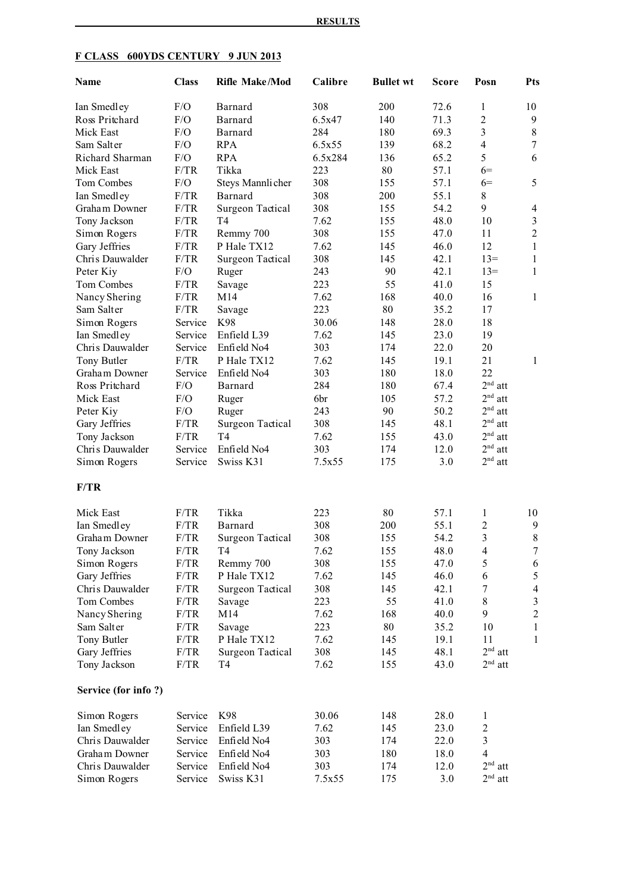| Name                | <b>Class</b> |                         | <b>Rifle Make/Mod</b><br>Calibre<br><b>Bullet wt</b> |     | Score | Posn                     | <b>Pts</b>     |
|---------------------|--------------|-------------------------|------------------------------------------------------|-----|-------|--------------------------|----------------|
| Ian Smedley         | F/O          | Barnard                 | 308                                                  | 200 | 72.6  | 1                        | 10             |
| Ross Pritchard      | F/O          | Barnard                 | 6.5x47                                               | 140 | 71.3  | $\overline{2}$           | 9              |
| Mick East           | F/O          | Barnard                 | 284                                                  | 180 | 69.3  | 3                        | $\,8\,$        |
| Sam Salter          | F/O          | <b>RPA</b>              | 6.5x55                                               | 139 | 68.2  | $\overline{4}$           | $\tau$         |
| Richard Sharman     | F/O          | <b>RPA</b>              | 6.5x284                                              | 136 | 65.2  | 5                        | 6              |
| Mick East           | F/TR         | Tikka                   | 223                                                  | 80  | 57.1  | $6=$                     |                |
| Tom Combes          | F/O          | Steys Mannlicher        | 308                                                  | 155 | 57.1  | $6=$                     | 5              |
| Ian Smedley         | F/TR         | Barnard                 | 308                                                  | 200 | 55.1  | 8                        |                |
| Graham Downer       | F/TR         | Surgeon Tactical        | 308                                                  | 155 | 54.2  | 9                        | $\overline{4}$ |
| Tony Jackson        | F/TR         | T <sub>4</sub>          | 7.62                                                 | 155 | 48.0  | 10                       | $\mathfrak{Z}$ |
| Simon Rogers        | F/TR         | Remmy 700               | 308                                                  | 155 | 47.0  | 11                       | $\sqrt{2}$     |
| Gary Jeffries       | F/TR         | P Hale TX12             | 7.62                                                 | 145 | 46.0  | 12                       | $\mathbf{1}$   |
| Chris Dauwalder     | F/TR         | <b>Surgeon Tactical</b> | 308                                                  | 145 | 42.1  | $13=$                    | 1              |
| Peter Kiy           | F/O          | Ruger                   | 243                                                  | 90  | 42.1  | $13=$                    | 1              |
| Tom Combes          | F/TR         | Savage                  | 223                                                  | 55  | 41.0  | 15                       |                |
| Nancy Shering       | F/TR         | M14                     | 7.62                                                 | 168 | 40.0  | 16                       | 1              |
| Sam Salter          | F/TR         | Savage                  | 223                                                  | 80  | 35.2  | 17                       |                |
| Simon Rogers        | Service      | K98                     | 30.06                                                | 148 | 28.0  | 18                       |                |
| Ian Smedley         | Service      | Enfield L39             | 7.62                                                 | 145 | 23.0  | 19                       |                |
| Chris Dauwalder     | Service      | Enfield No4             | 303                                                  | 174 | 22.0  | 20                       |                |
| Tony Butler         | F/TR         | P Hale TX12             | 7.62                                                 | 145 | 19.1  | 21                       | $\mathbf{1}$   |
| Graham Downer       | Service      | Enfield No4             | 303                                                  | 180 | 18.0  | 22                       |                |
| Ross Pritchard      | F/O          | Barnard                 | 284                                                  | 180 | 67.4  | $2nd$ att                |                |
| Mick East           | F/O          | Ruger                   | 6br                                                  | 105 | 57.2  | 2 <sup>nd</sup><br>att   |                |
| Peter Kiy           | F/O          | Ruger                   | 243                                                  | 90  | 50.2  | 2 <sup>nd</sup><br>att   |                |
| Gary Jeffries       | F/TR         | Surgeon Tactical        | 308                                                  | 145 | 48.1  | $2nd$ att                |                |
| Tony Jackson        | F/TR         | T <sub>4</sub>          | 7.62                                                 | 155 | 43.0  | $2nd$ att                |                |
| Chris Dauwalder     | Service      | Enfield No4             | 303                                                  | 174 | 12.0  | $2nd$ att                |                |
| Simon Rogers        | Service      | Swiss K31               | 7.5x55                                               | 175 | 3.0   | $2nd$ att                |                |
| F/TR                |              |                         |                                                      |     |       |                          |                |
| Mick East           | F/TR         | Tikka                   | 223                                                  | 80  | 57.1  | 1                        | 10             |
| Ian Smedley         | F/TR         | Barnard                 | 308                                                  | 200 | 55.1  | $\overline{2}$           | 9              |
| Graham Downer       | F/TR         | Surgeon Tactical        | 308                                                  | 155 | 54.2  | 3                        | 8              |
| Tony Jackson        | F/TR         | T <sub>4</sub>          | 7.62                                                 | 155 | 48.0  | $\overline{\mathcal{A}}$ | $\tau$         |
| Simon Rogers        | F/TR         | Remmy 700               | 308                                                  | 155 | 47.0  | 5                        | 6              |
| Gary Jeffries       | F/TR         | P Hale TX12             | 7.62                                                 | 145 | 46.0  | 6                        | $\sqrt{5}$     |
| Chris Dauwalder     | F/TR         | <b>Surgeon Tactical</b> | 308                                                  | 145 | 42.1  | $\boldsymbol{7}$         | $\overline{4}$ |
| Tom Combes          | F/TR         | Savage                  | 223                                                  | 55  | 41.0  | $\,$ $\,$                | $\mathfrak z$  |
| Nancy Shering       | F/TR         | M14                     | 7.62                                                 | 168 | 40.0  | 9                        | $\overline{2}$ |
| Sam Salter          | F/TR         | Savage                  | 223                                                  | 80  | 35.2  | 10                       | $\mathbf{1}$   |
| Tony Butler         | F/TR         | P Hale TX12             | 7.62                                                 | 145 | 19.1  | 11                       | $\mathbf{1}$   |
| Gary Jeffries       | F/TR         | Surgeon Tactical        | 308                                                  | 145 | 48.1  | $2nd$ att                |                |
| Tony Jackson        | F/TR         | T <sub>4</sub>          | 7.62                                                 | 155 | 43.0  | $2nd$ att                |                |
| Service (for info?) |              |                         |                                                      |     |       |                          |                |
| Simon Rogers        | Service      | K98                     | 30.06                                                | 148 | 28.0  | 1                        |                |
| Ian Smedley         | Service      | Enfield L39             | 7.62                                                 | 145 | 23.0  | $\overline{\mathbf{c}}$  |                |
| Chris Dauwalder     | Service      | Enfield No4             | 303                                                  | 174 | 22.0  | $\overline{\mathbf{3}}$  |                |
| Graham Downer       | Service      | Enfield No4             | 303                                                  | 180 | 18.0  | $\overline{\mathbf{4}}$  |                |
| Chris Dauwalder     | Service      | Enfield No4             | 303                                                  | 174 | 12.0  | $2nd$ att                |                |
| Simon Rogers        | Service      | Swiss K31               | 7.5x55                                               | 175 | 3.0   | $2^{\rm nd}$ att         |                |

# **F CLASS 600YDS CENTURY 9 JUN 2013**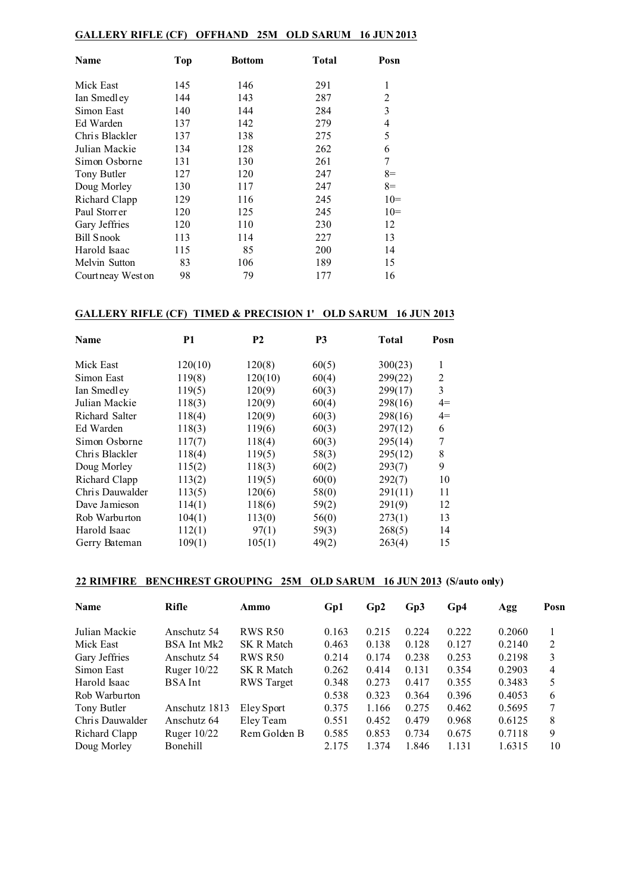### **GALLERY RIFLE (CF) OFFHAND 25M OLD SARUM 16 JUN 2013**

| Name               | Top | <b>Bottom</b> | Total | Posn           |
|--------------------|-----|---------------|-------|----------------|
| Mick East          | 145 | 146           | 291   | 1              |
| Ian Smedley        | 144 | 143           | 287   | $\overline{2}$ |
| Simon East         | 140 | 144           | 284   | 3              |
| Ed Warden          | 137 | 142           | 279   | 4              |
| Chris Blackler     | 137 | 138           | 275   | 5              |
| Julian Mackie      | 134 | 128           | 262   | 6              |
| Simon Osborne      | 131 | 130           | 261   | 7              |
| Tony Butler        | 127 | 120           | 247   | $8=$           |
| Doug Morley        | 130 | 117           | 247   | $8=$           |
| Richard Clapp      | 129 | 116           | 245   | $10=$          |
| Paul Storr er      | 120 | 125           | 245   | $10=$          |
| Gary Jeffries      | 120 | 110           | 230   | 12             |
| Bill Snook         | 113 | 114           | 227   | 13             |
| Harold Isaac       | 115 | 85            | 200   | 14             |
| Melvin Sutton      | 83  | 106           | 189   | 15             |
| Court neay West on | 98  | 79            | 177   | 16             |

#### **GALLERY RIFLE (CF) TIMED & PRECISION 1' OLD SARUM 16 JUN 2013**

| <b>Name</b>     | <b>P1</b> | <b>P2</b> | P <sub>3</sub> | <b>Total</b> | Posn |
|-----------------|-----------|-----------|----------------|--------------|------|
| Mick East       | 120(10)   | 120(8)    | 60(5)          | 300(23)      | 1    |
| Simon East      | 119(8)    | 120(10)   | 60(4)          | 299(22)      | 2    |
| Ian Smedley     | 119(5)    | 120(9)    | 60(3)          | 299(17)      | 3    |
| Julian Mackie   | 118(3)    | 120(9)    | 60(4)          | 298(16)      | $4=$ |
| Richard Salter  | 118(4)    | 120(9)    | 60(3)          | 298(16)      | $4=$ |
| Ed Warden       | 118(3)    | 119(6)    | 60(3)          | 297(12)      | 6    |
| Simon Osborne   | 117(7)    | 118(4)    | 60(3)          | 295(14)      | 7    |
| Chris Blackler  | 118(4)    | 119(5)    | 58(3)          | 295(12)      | 8    |
| Doug Morley     | 115(2)    | 118(3)    | 60(2)          | 293(7)       | 9    |
| Richard Clapp   | 113(2)    | 119(5)    | 60(0)          | 292(7)       | 10   |
| Chris Dauwalder | 113(5)    | 120(6)    | 58(0)          | 291(11)      | 11   |
| Dave Jamieson   | 114(1)    | 118(6)    | 59(2)          | 291(9)       | 12   |
| Rob Warburton   | 104(1)    | 113(0)    | 56(0)          | 273(1)       | 13   |
| Harold Isaac    | 112(1)    | 97(1)     | 59(3)          | 268(5)       | 14   |
| Gerry Bateman   | 109(1)    | 105(1)    | 49(2)          | 263(4)       | 15   |

# **22 RIMFIRE BENCHREST GROUPING 25M OLD SARUM 16 JUN 2013 (S/auto only)**

| Name            | <b>Rifle</b>    | Ammo              | Gp1   | Gp2   | Gp3   | Gp4   | Agg    | Posn |
|-----------------|-----------------|-------------------|-------|-------|-------|-------|--------|------|
| Julian Mackie   | Anschutz 54     | <b>RWS R50</b>    | 0.163 | 0.215 | 0.224 | 0.222 | 0.2060 |      |
| Mick East       | BSA Int Mk2     | <b>SK R Match</b> | 0.463 | 0.138 | 0.128 | 0.127 | 0.2140 | 2    |
| Gary Jeffries   | Anschutz 54     | <b>RWS R50</b>    | 0.214 | 0.174 | 0.238 | 0.253 | 0.2198 | 3    |
| Simon East      | Ruger $10/22$   | <b>SK R Match</b> | 0.262 | 0.414 | 0.131 | 0.354 | 0.2903 | 4    |
| Harold Isaac    | <b>BSA</b> Int  | <b>RWS</b> Target | 0.348 | 0.273 | 0.417 | 0.355 | 0.3483 | 5    |
| Rob Warburton   |                 |                   | 0.538 | 0.323 | 0.364 | 0.396 | 0.4053 | 6    |
| Tony Butler     | Anschutz 1813   | Eley Sport        | 0.375 | 1.166 | 0.275 | 0.462 | 0.5695 | 7    |
| Chris Dauwalder | Anschutz 64     | Eley Team         | 0.551 | 0.452 | 0.479 | 0.968 | 0.6125 | 8    |
| Richard Clapp   | Ruger $10/22$   | Rem Golden B      | 0.585 | 0.853 | 0.734 | 0.675 | 0.7118 | 9    |
| Doug Morley     | <b>Bonehill</b> |                   | 2.175 | 1.374 | 1.846 | 1.131 | 1.6315 | 10   |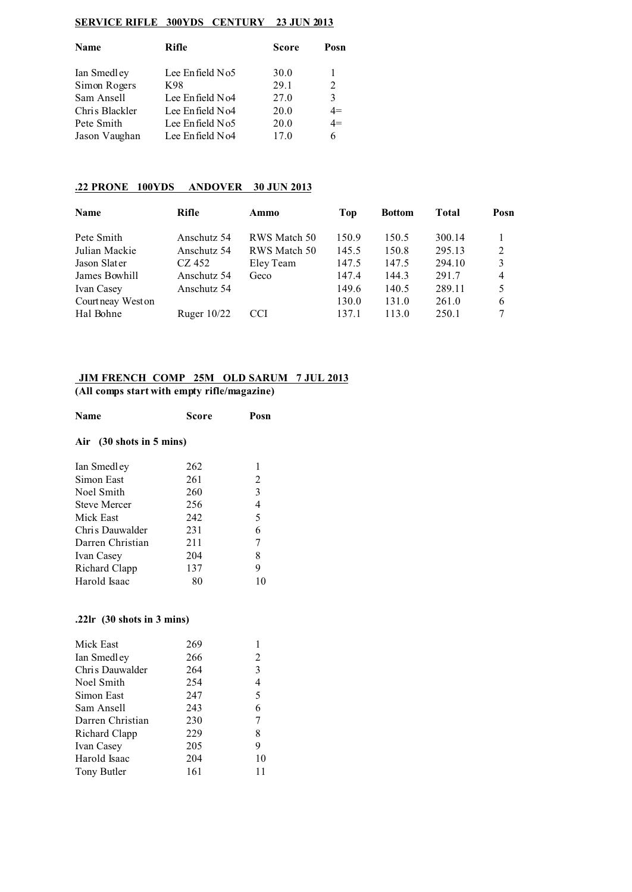#### **SERVICE RIFLE 300YDS CENTURY 23 JUN 2013**

| Name           | Rifle                | <b>Score</b> | Posn           |  |
|----------------|----------------------|--------------|----------------|--|
| Ian Smedley    | Lee Enfield No5      | 30.0         |                |  |
| Simon Rogers   | K98                  | 29.1         | $\mathfrak{D}$ |  |
| Sam Ansell     | Lee Enfield No4      | 27.0         | 3              |  |
| Chris Blackler | Lee $En$ field $No4$ | 20.0         | $4=$           |  |
| Pete Smith     | Lee Enfield No5      | 20.0         | $4=$           |  |
| Jason Vaughan  | Lee Enfield No4      | 17.0         | 6              |  |
|                |                      |              |                |  |

#### **.22 PRONE 100YDS ANDOVER 30 JUN 2013**

| <b>Name</b>       | Rifle         | Ammo         | Top   | <b>Bottom</b> | <b>Total</b> | Posn           |
|-------------------|---------------|--------------|-------|---------------|--------------|----------------|
| Pete Smith        | Anschutz 54   | RWS Match 50 | 150.9 | 150.5         | 300.14       | 1              |
| Julian Mackie     | Anschutz 54   | RWS Match 50 | 145.5 | 150.8         | 295.13       | 2              |
| Jason Slater      | CZ 452        | Eley Team    | 147.5 | 147.5         | 294.10       | 3              |
| James Bowhill     | Anschutz 54   | Geco         | 147.4 | 144.3         | 291.7        | $\overline{4}$ |
| Ivan Casey        | Anschutz 54   |              | 149.6 | 140.5         | 289.11       | 5              |
| Courtneay West on |               |              | 130.0 | 131.0         | 261.0        | 6              |
| Hal Bohne         | Ruger $10/22$ | <b>CCI</b>   | 137.1 | 113.0         | 250.1        |                |
|                   |               |              |       |               |              |                |

# **JIM FRENCH COMP 25M OLD SARUM 7 JUL 2013**

**(All comps start with empty rifle/magazine)**

| <b>Name</b>                 | Score | Posn |
|-----------------------------|-------|------|
| (30 shots in 5 mins)<br>Air |       |      |
| Ian Smedley                 | 262   | 1    |
| Simon East                  | 261   | 2    |
| Noel Smith                  | 260   | 3    |
| <b>Steve Mercer</b>         | 256   | 4    |
| Mick East                   | 242   | 5    |
| Chris Dauwalder             | 231   | 6    |
| Darren Christian            | 211   | 7    |
| Ivan Casey                  | 204   | 8    |
| Richard Clapp               | 137   | 9    |
| Harold Isaac                | 80    | 10   |

#### **.22lr (30 shots in 3 mins)**

| Mick East        | 269 |    |
|------------------|-----|----|
| Ian Smedley      | 266 | 2  |
| Chris Dauwalder  | 264 | 3  |
| Noel Smith       | 254 | 4  |
| Simon East       | 247 | 5  |
| Sam Ansell       | 243 | 6  |
| Darren Christian | 230 | 7  |
| Richard Clapp    | 229 | 8  |
| Ivan Casey       | 205 | 9  |
| Harold Isaac     | 204 | 10 |
| Tony Butler      | 161 | 11 |
|                  |     |    |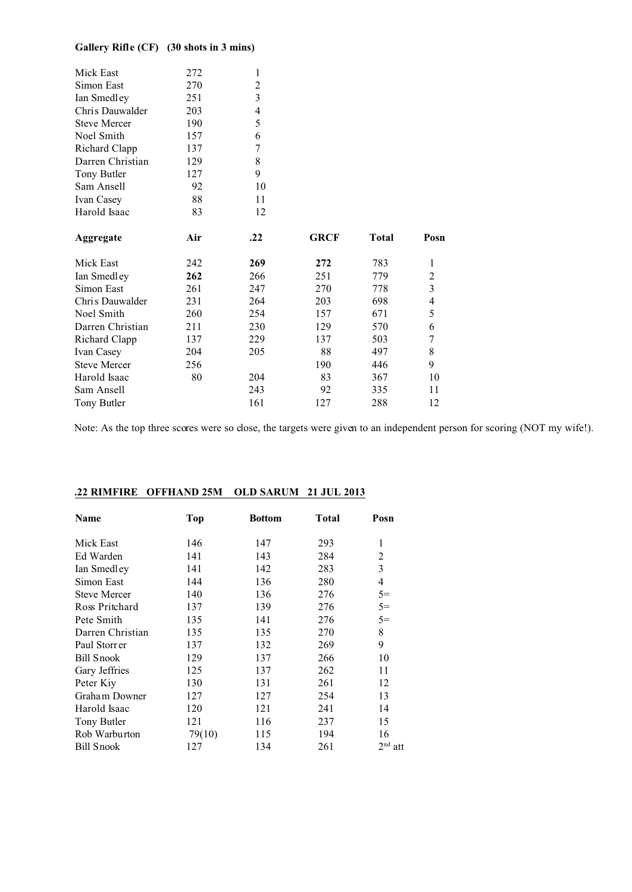# **Gallery Rifle (CF) (30 shots in 3 mins)**

| Mick East           | 272 | 1                       |             |              |                          |
|---------------------|-----|-------------------------|-------------|--------------|--------------------------|
| Simon East          | 270 | $\overline{c}$          |             |              |                          |
| Ian Smedley         | 251 | $\overline{\mathbf{3}}$ |             |              |                          |
| Chris Dauwalder     | 203 | 4                       |             |              |                          |
| <b>Steve Mercer</b> | 190 | 5                       |             |              |                          |
| Noel Smith          | 157 | 6                       |             |              |                          |
| Richard Clapp       | 137 | 7                       |             |              |                          |
| Darren Christian    | 129 | 8                       |             |              |                          |
| Tony Butler         | 127 | 9                       |             |              |                          |
| Sam Ansell          | 92  | 10                      |             |              |                          |
| Ivan Casey          | 88  | 11                      |             |              |                          |
| Harold Isaac        | 83  | 12                      |             |              |                          |
| Aggregate           | Air | .22                     | <b>GRCF</b> | <b>Total</b> | Posn                     |
| Mick East           | 242 | 269                     | 272         | 783          | 1                        |
| Ian Smedley         | 262 | 266                     | 251         | 779          |                          |
| Simon East          | 261 | 247                     | 270         | 778          | $\frac{2}{3}$            |
| Chris Dauwalder     | 231 | 264                     | 203         | 698          | $\overline{\mathcal{L}}$ |
| Noel Smith          | 260 | 254                     | 157         | 671          | 5                        |
| Darren Christian    | 211 | 230                     | 129         | 570          | 6                        |
| Richard Clapp       | 137 | 229                     | 137         | 503          | $\overline{7}$           |
| Ivan Casey          | 204 | 205                     | 88          | 497          | 8                        |
| <b>Steve Mercer</b> | 256 |                         | 190         | 446          | 9                        |
| Harold Isaac        | 80  | 204                     | 83          | 367          | 10                       |
| Sam Ansell          |     | 243                     | 92          | 335          | 11                       |
| Tony Butler         |     | 161                     | 127         | 288          | 12                       |

Note: As the top three scores were so close, the targets were given to an independent person for scoring (NOT my wife!).

| Name                | Top    | <b>Bottom</b> | Total | Posn      |
|---------------------|--------|---------------|-------|-----------|
| Mick East           | 146    | 147           | 293   | 1         |
| Ed Warden           | 141    | 143           | 284   | 2         |
| Ian Smedley         | 141    | 142           | 283   | 3         |
| Simon East          | 144    | 136           | 280   | 4         |
| <b>Steve Mercer</b> | 140    | 136           | 276   | $5=$      |
| Ross Pritchard      | 137    | 139           | 276   | $5=$      |
| Pete Smith          | 135    | 141           | 276   | $5=$      |
| Darren Christian    | 135    | 135           | 270   | 8         |
| Paul Storrer        | 137    | 132           | 269   | 9         |
| <b>Bill Snook</b>   | 129    | 137           | 266   | 10        |
| Gary Jeffries       | 125    | 137           | 262   | 11        |
| Peter Kiy           | 130    | 131           | 261   | 12        |
| Graham Downer       | 127    | 127           | 254   | 13        |
| Harold Isaac        | 120    | 121           | 241   | 14        |
| Tony Butler         | 121    | 116           | 237   | 15        |
| Rob Warburton       | 79(10) | 115           | 194   | 16        |
| Bill Snook          | 127    | 134           | 261   | $2nd$ att |

### **.22 RIMFIRE OFFHAND 25M OLD SARUM 21 JUL 2013**